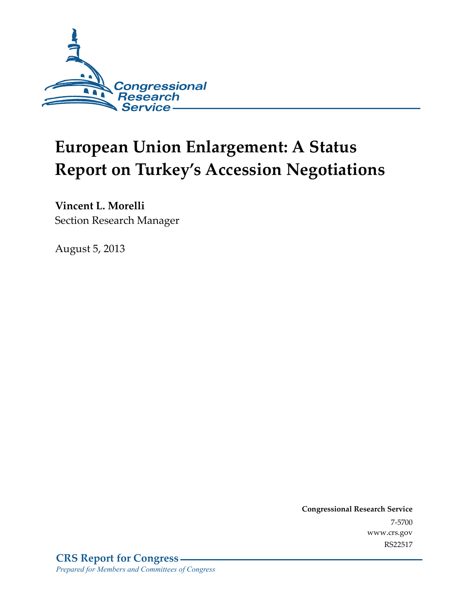

# **European Union Enlargement: A Status Report on Turkey's Accession Negotiations**

**Vincent L. Morelli**  Section Research Manager

August 5, 2013

**Congressional Research Service**  7-5700 www.crs.gov RS22517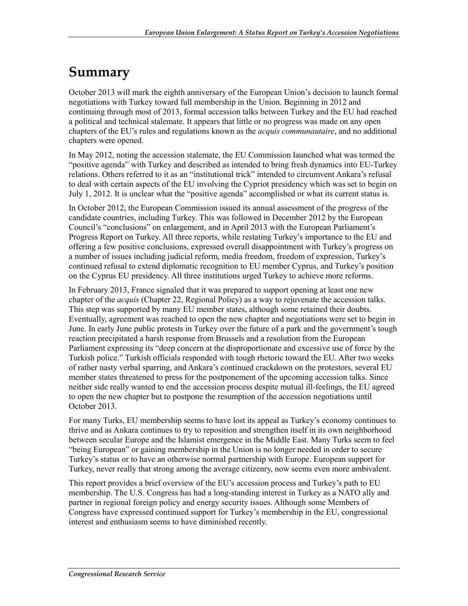## **Summary**

October 2013 will mark the eighth anniversary of the European Union's decision to launch formal negotiations with Turkey toward full membership in the Union. Beginning in 2012 and continuing through most of 2013, formal accession talks between Turkey and the EU had reached a political and technical stalemate. It appears that little or no progress was made on any open chapters of the EU's rules and regulations known as the *acquis communautaire*, and no additional chapters were opened.

In May 2012, noting the accession stalemate, the EU Commission launched what was termed the "positive agenda" with Turkey and described as intended to bring fresh dynamics into EU-Turkey relations. Others referred to it as an "institutional trick" intended to circumvent Ankara's refusal to deal with certain aspects of the EU involving the Cypriot presidency which was set to begin on July 1, 2012. It is unclear what the "positive agenda" accomplished or what its current status is.

In October 2012, the European Commission issued its annual assessment of the progress of the candidate countries, including Turkey. This was followed in December 2012 by the European Council's "conclusions" on enlargement, and in April 2013 with the European Parliament's Progress Report on Turkey. All three reports, while restating Turkey's importance to the EU and offering a few positive conclusions, expressed overall disappointment with Turkey's progress on a number of issues including judicial reform, media freedom, freedom of expression, Turkey's continued refusal to extend diplomatic recognition to EU member Cyprus, and Turkey's position on the Cyprus EU presidency. All three institutions urged Turkey to achieve more reforms.

In February 2013, France signaled that it was prepared to support opening at least one new chapter of the *acquis* (Chapter 22, Regional Policy) as a way to rejuvenate the accession talks. This step was supported by many EU member states, although some retained their doubts. Eventually, agreement was reached to open the new chapter and negotiations were set to begin in June. In early June public protests in Turkey over the future of a park and the government's tough reaction precipitated a harsh response from Brussels and a resolution from the European Parliament expressing its "deep concern at the disproportionate and excessive use of force by the Turkish police." Turkish officials responded with tough rhetoric toward the EU. After two weeks of rather nasty verbal sparring, and Ankara's continued crackdown on the protestors, several EU member states threatened to press for the postponement of the upcoming accession talks. Since neither side really wanted to end the accession process despite mutual ill-feelings, the EU agreed to open the new chapter but to postpone the resumption of the accession negotiations until October 2013.

For many Turks, EU membership seems to have lost its appeal as Turkey's economy continues to thrive and as Ankara continues to try to reposition and strengthen itself in its own neighborhood between secular Europe and the Islamist emergence in the Middle East. Many Turks seem to feel "being European" or gaining membership in the Union is no longer needed in order to secure Turkey's status or to have an otherwise normal partnership with Europe. European support for Turkey, never really that strong among the average citizenry, now seems even more ambivalent.

This report provides a brief overview of the EU's accession process and Turkey's path to EU membership. The U.S. Congress has had a long-standing interest in Turkey as a NATO ally and partner in regional foreign policy and energy security issues. Although some Members of Congress have expressed continued support for Turkey's membership in the EU, congressional interest and enthusiasm seems to have diminished recently.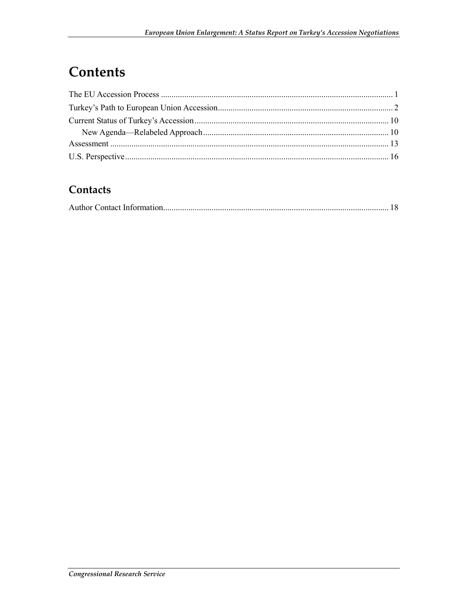## Contents

#### Contacts

|--|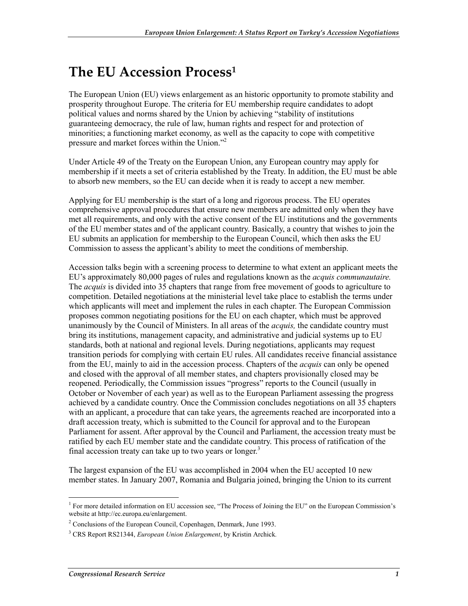## **The EU Accession Process1**

The European Union (EU) views enlargement as an historic opportunity to promote stability and prosperity throughout Europe. The criteria for EU membership require candidates to adopt political values and norms shared by the Union by achieving "stability of institutions guaranteeing democracy, the rule of law, human rights and respect for and protection of minorities; a functioning market economy, as well as the capacity to cope with competitive pressure and market forces within the Union."2

Under Article 49 of the Treaty on the European Union, any European country may apply for membership if it meets a set of criteria established by the Treaty. In addition, the EU must be able to absorb new members, so the EU can decide when it is ready to accept a new member.

Applying for EU membership is the start of a long and rigorous process. The EU operates comprehensive approval procedures that ensure new members are admitted only when they have met all requirements, and only with the active consent of the EU institutions and the governments of the EU member states and of the applicant country. Basically, a country that wishes to join the EU submits an application for membership to the European Council, which then asks the EU Commission to assess the applicant's ability to meet the conditions of membership.

Accession talks begin with a screening process to determine to what extent an applicant meets the EU's approximately 80,000 pages of rules and regulations known as the *acquis communautaire.* The *acquis* is divided into 35 chapters that range from free movement of goods to agriculture to competition. Detailed negotiations at the ministerial level take place to establish the terms under which applicants will meet and implement the rules in each chapter. The European Commission proposes common negotiating positions for the EU on each chapter, which must be approved unanimously by the Council of Ministers. In all areas of the *acquis,* the candidate country must bring its institutions, management capacity, and administrative and judicial systems up to EU standards, both at national and regional levels. During negotiations, applicants may request transition periods for complying with certain EU rules. All candidates receive financial assistance from the EU, mainly to aid in the accession process. Chapters of the *acquis* can only be opened and closed with the approval of all member states, and chapters provisionally closed may be reopened. Periodically, the Commission issues "progress" reports to the Council (usually in October or November of each year) as well as to the European Parliament assessing the progress achieved by a candidate country. Once the Commission concludes negotiations on all 35 chapters with an applicant, a procedure that can take years, the agreements reached are incorporated into a draft accession treaty, which is submitted to the Council for approval and to the European Parliament for assent. After approval by the Council and Parliament, the accession treaty must be ratified by each EU member state and the candidate country. This process of ratification of the final accession treaty can take up to two years or longer.<sup>3</sup>

The largest expansion of the EU was accomplished in 2004 when the EU accepted 10 new member states. In January 2007, Romania and Bulgaria joined, bringing the Union to its current

<sup>&</sup>lt;sup>1</sup> For more detailed information on EU accession see, "The Process of Joining the EU" on the European Commission's website at http://ec.europa.eu/enlargement.

<sup>&</sup>lt;sup>2</sup> Conclusions of the European Council, Copenhagen, Denmark, June 1993.

<sup>3</sup> CRS Report RS21344, *European Union Enlargement*, by Kristin Archick*.*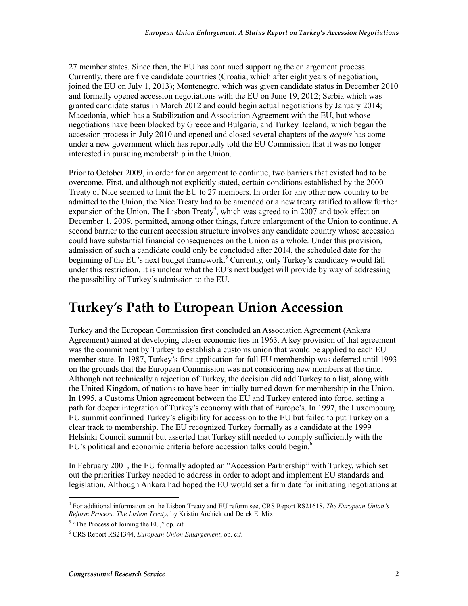27 member states. Since then, the EU has continued supporting the enlargement process. Currently, there are five candidate countries (Croatia, which after eight years of negotiation, joined the EU on July 1, 2013); Montenegro, which was given candidate status in December 2010 and formally opened accession negotiations with the EU on June 19, 2012; Serbia which was granted candidate status in March 2012 and could begin actual negotiations by January 2014; Macedonia, which has a Stabilization and Association Agreement with the EU, but whose negotiations have been blocked by Greece and Bulgaria, and Turkey. Iceland, which began the accession process in July 2010 and opened and closed several chapters of the *acquis* has come under a new government which has reportedly told the EU Commission that it was no longer interested in pursuing membership in the Union.

Prior to October 2009, in order for enlargement to continue, two barriers that existed had to be overcome. First, and although not explicitly stated, certain conditions established by the 2000 Treaty of Nice seemed to limit the EU to 27 members. In order for any other new country to be admitted to the Union, the Nice Treaty had to be amended or a new treaty ratified to allow further expansion of the Union. The Lisbon Treaty<sup>4</sup>, which was agreed to in 2007 and took effect on December 1, 2009, permitted, among other things, future enlargement of the Union to continue. A second barrier to the current accession structure involves any candidate country whose accession could have substantial financial consequences on the Union as a whole. Under this provision, admission of such a candidate could only be concluded after 2014, the scheduled date for the beginning of the EU's next budget framework.<sup>5</sup> Currently, only Turkey's candidacy would fall under this restriction. It is unclear what the EU's next budget will provide by way of addressing the possibility of Turkey's admission to the EU.

### **Turkey's Path to European Union Accession**

Turkey and the European Commission first concluded an Association Agreement (Ankara Agreement) aimed at developing closer economic ties in 1963. A key provision of that agreement was the commitment by Turkey to establish a customs union that would be applied to each EU member state. In 1987, Turkey's first application for full EU membership was deferred until 1993 on the grounds that the European Commission was not considering new members at the time. Although not technically a rejection of Turkey, the decision did add Turkey to a list, along with the United Kingdom, of nations to have been initially turned down for membership in the Union. In 1995, a Customs Union agreement between the EU and Turkey entered into force, setting a path for deeper integration of Turkey's economy with that of Europe's. In 1997, the Luxembourg EU summit confirmed Turkey's eligibility for accession to the EU but failed to put Turkey on a clear track to membership. The EU recognized Turkey formally as a candidate at the 1999 Helsinki Council summit but asserted that Turkey still needed to comply sufficiently with the EU's political and economic criteria before accession talks could begin. $<sup>6</sup>$ </sup>

In February 2001, the EU formally adopted an "Accession Partnership" with Turkey, which set out the priorities Turkey needed to address in order to adopt and implement EU standards and legislation. Although Ankara had hoped the EU would set a firm date for initiating negotiations at

<sup>1</sup> 4 For additional information on the Lisbon Treaty and EU reform see, CRS Report RS21618, *The European Union's Reform Process: The Lisbon Treaty*, by Kristin Archick and Derek E. Mix.

<sup>&</sup>lt;sup>5</sup> "The Process of Joining the EU," op. cit.

<sup>6</sup> CRS Report RS21344, *European Union Enlargement*, op. ci*t*.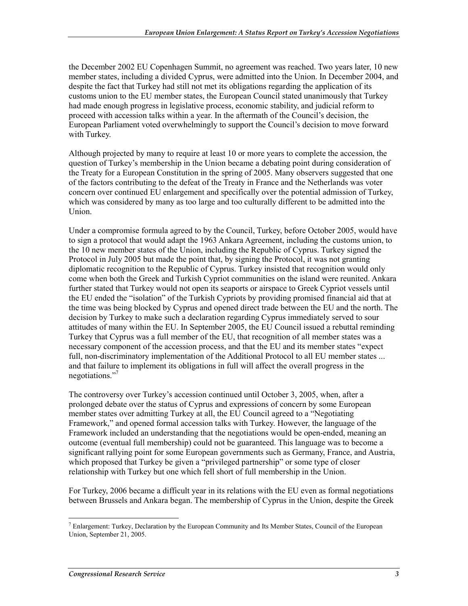the December 2002 EU Copenhagen Summit, no agreement was reached. Two years later, 10 new member states, including a divided Cyprus, were admitted into the Union. In December 2004, and despite the fact that Turkey had still not met its obligations regarding the application of its customs union to the EU member states, the European Council stated unanimously that Turkey had made enough progress in legislative process, economic stability, and judicial reform to proceed with accession talks within a year. In the aftermath of the Council's decision, the European Parliament voted overwhelmingly to support the Council's decision to move forward with Turkey.

Although projected by many to require at least 10 or more years to complete the accession, the question of Turkey's membership in the Union became a debating point during consideration of the Treaty for a European Constitution in the spring of 2005. Many observers suggested that one of the factors contributing to the defeat of the Treaty in France and the Netherlands was voter concern over continued EU enlargement and specifically over the potential admission of Turkey, which was considered by many as too large and too culturally different to be admitted into the Union.

Under a compromise formula agreed to by the Council, Turkey, before October 2005, would have to sign a protocol that would adapt the 1963 Ankara Agreement, including the customs union, to the 10 new member states of the Union, including the Republic of Cyprus. Turkey signed the Protocol in July 2005 but made the point that, by signing the Protocol, it was not granting diplomatic recognition to the Republic of Cyprus. Turkey insisted that recognition would only come when both the Greek and Turkish Cypriot communities on the island were reunited. Ankara further stated that Turkey would not open its seaports or airspace to Greek Cypriot vessels until the EU ended the "isolation" of the Turkish Cypriots by providing promised financial aid that at the time was being blocked by Cyprus and opened direct trade between the EU and the north. The decision by Turkey to make such a declaration regarding Cyprus immediately served to sour attitudes of many within the EU. In September 2005, the EU Council issued a rebuttal reminding Turkey that Cyprus was a full member of the EU, that recognition of all member states was a necessary component of the accession process, and that the EU and its member states "expect full, non-discriminatory implementation of the Additional Protocol to all EU member states ... and that failure to implement its obligations in full will affect the overall progress in the negotiations."7

The controversy over Turkey's accession continued until October 3, 2005, when, after a prolonged debate over the status of Cyprus and expressions of concern by some European member states over admitting Turkey at all, the EU Council agreed to a "Negotiating Framework," and opened formal accession talks with Turkey. However, the language of the Framework included an understanding that the negotiations would be open-ended, meaning an outcome (eventual full membership) could not be guaranteed. This language was to become a significant rallying point for some European governments such as Germany, France, and Austria, which proposed that Turkey be given a "privileged partnership" or some type of closer relationship with Turkey but one which fell short of full membership in the Union.

For Turkey, 2006 became a difficult year in its relations with the EU even as formal negotiations between Brussels and Ankara began. The membership of Cyprus in the Union, despite the Greek

<sup>1</sup>  $<sup>7</sup>$  Enlargement: Turkey, Declaration by the European Community and Its Member States, Council of the European</sup> Union, September 21, 2005.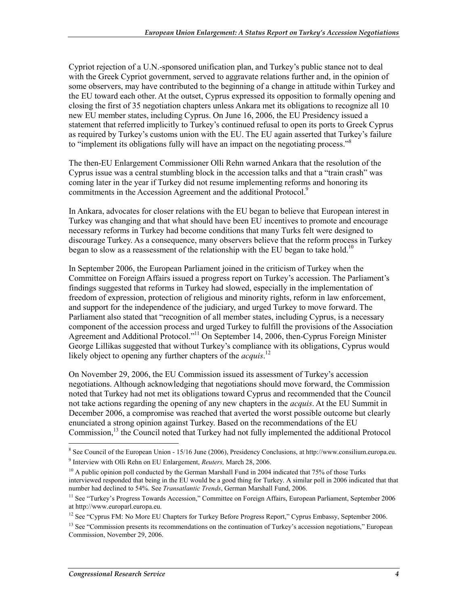Cypriot rejection of a U.N.-sponsored unification plan, and Turkey's public stance not to deal with the Greek Cypriot government, served to aggravate relations further and, in the opinion of some observers, may have contributed to the beginning of a change in attitude within Turkey and the EU toward each other. At the outset, Cyprus expressed its opposition to formally opening and closing the first of 35 negotiation chapters unless Ankara met its obligations to recognize all 10 new EU member states, including Cyprus. On June 16, 2006, the EU Presidency issued a statement that referred implicitly to Turkey's continued refusal to open its ports to Greek Cyprus as required by Turkey's customs union with the EU. The EU again asserted that Turkey's failure to "implement its obligations fully will have an impact on the negotiating process."<sup>8</sup>

The then-EU Enlargement Commissioner Olli Rehn warned Ankara that the resolution of the Cyprus issue was a central stumbling block in the accession talks and that a "train crash" was coming later in the year if Turkey did not resume implementing reforms and honoring its commitments in the Accession Agreement and the additional Protocol.<sup>9</sup>

In Ankara, advocates for closer relations with the EU began to believe that European interest in Turkey was changing and that what should have been EU incentives to promote and encourage necessary reforms in Turkey had become conditions that many Turks felt were designed to discourage Turkey. As a consequence, many observers believe that the reform process in Turkey began to slow as a reassessment of the relationship with the EU began to take hold.<sup>10</sup>

In September 2006, the European Parliament joined in the criticism of Turkey when the Committee on Foreign Affairs issued a progress report on Turkey's accession. The Parliament's findings suggested that reforms in Turkey had slowed, especially in the implementation of freedom of expression, protection of religious and minority rights, reform in law enforcement, and support for the independence of the judiciary, and urged Turkey to move forward. The Parliament also stated that "recognition of all member states, including Cyprus, is a necessary component of the accession process and urged Turkey to fulfill the provisions of the Association Agreement and Additional Protocol."<sup>11</sup> On September 14, 2006, then-Cyprus Foreign Minister George Lillikas suggested that without Turkey's compliance with its obligations, Cyprus would likely object to opening any further chapters of the *acquis*.<sup>12</sup>

On November 29, 2006, the EU Commission issued its assessment of Turkey's accession negotiations. Although acknowledging that negotiations should move forward, the Commission noted that Turkey had not met its obligations toward Cyprus and recommended that the Council not take actions regarding the opening of any new chapters in the *acquis*. At the EU Summit in December 2006, a compromise was reached that averted the worst possible outcome but clearly enunciated a strong opinion against Turkey. Based on the recommendations of the EU Commission,<sup>13</sup> the Council noted that Turkey had not fully implemented the additional Protocol

<sup>&</sup>lt;sup>8</sup> See Council of the European Union - 15/16 June (2006), Presidency Conclusions, at http://www.consilium.europa.eu. 9 Interview with Olli Rehn on EU Enlargement, *Reuters,* March 28, 2006.

 $10$  A public opinion poll conducted by the German Marshall Fund in 2004 indicated that 75% of those Turks interviewed responded that being in the EU would be a good thing for Turkey. A similar poll in 2006 indicated that that number had declined to 54%. See *Transatlantic Trends*, German Marshall Fund, 2006.

<sup>&</sup>lt;sup>11</sup> See "Turkey's Progress Towards Accession," Committee on Foreign Affairs, European Parliament, September 2006 at http://www.europarl.europa.eu.

<sup>&</sup>lt;sup>12</sup> See "Cyprus FM: No More EU Chapters for Turkey Before Progress Report," Cyprus Embassy, September 2006.

<sup>&</sup>lt;sup>13</sup> See "Commission presents its recommendations on the continuation of Turkey's accession negotiations," European Commission, November 29, 2006.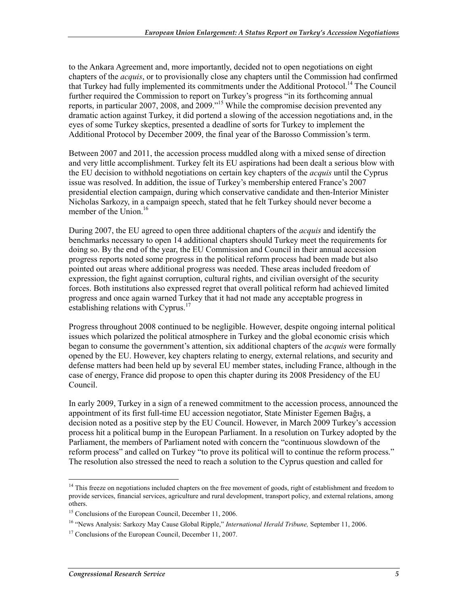to the Ankara Agreement and, more importantly, decided not to open negotiations on eight chapters of the *acquis*, or to provisionally close any chapters until the Commission had confirmed that Turkey had fully implemented its commitments under the Additional Protocol.<sup>14</sup> The Council further required the Commission to report on Turkey's progress "in its forthcoming annual reports, in particular 2007, 2008, and 2009."15 While the compromise decision prevented any dramatic action against Turkey, it did portend a slowing of the accession negotiations and, in the eyes of some Turkey skeptics, presented a deadline of sorts for Turkey to implement the Additional Protocol by December 2009, the final year of the Barosso Commission's term.

Between 2007 and 2011, the accession process muddled along with a mixed sense of direction and very little accomplishment. Turkey felt its EU aspirations had been dealt a serious blow with the EU decision to withhold negotiations on certain key chapters of the *acquis* until the Cyprus issue was resolved. In addition, the issue of Turkey's membership entered France's 2007 presidential election campaign, during which conservative candidate and then-Interior Minister Nicholas Sarkozy, in a campaign speech, stated that he felt Turkey should never become a member of the Union.<sup>16</sup>

During 2007, the EU agreed to open three additional chapters of the *acquis* and identify the benchmarks necessary to open 14 additional chapters should Turkey meet the requirements for doing so. By the end of the year, the EU Commission and Council in their annual accession progress reports noted some progress in the political reform process had been made but also pointed out areas where additional progress was needed. These areas included freedom of expression, the fight against corruption, cultural rights, and civilian oversight of the security forces. Both institutions also expressed regret that overall political reform had achieved limited progress and once again warned Turkey that it had not made any acceptable progress in establishing relations with Cyprus.<sup>17</sup>

Progress throughout 2008 continued to be negligible. However, despite ongoing internal political issues which polarized the political atmosphere in Turkey and the global economic crisis which began to consume the government's attention, six additional chapters of the *acquis* were formally opened by the EU. However, key chapters relating to energy, external relations, and security and defense matters had been held up by several EU member states, including France, although in the case of energy, France did propose to open this chapter during its 2008 Presidency of the EU Council.

In early 2009, Turkey in a sign of a renewed commitment to the accession process, announced the appointment of its first full-time EU accession negotiator, State Minister Egemen Bağış, a decision noted as a positive step by the EU Council. However, in March 2009 Turkey's accession process hit a political bump in the European Parliament. In a resolution on Turkey adopted by the Parliament, the members of Parliament noted with concern the "continuous slowdown of the reform process" and called on Turkey "to prove its political will to continue the reform process." The resolution also stressed the need to reach a solution to the Cyprus question and called for

<sup>1</sup> <sup>14</sup> This freeze on negotiations included chapters on the free movement of goods, right of establishment and freedom to provide services, financial services, agriculture and rural development, transport policy, and external relations, among others.

<sup>&</sup>lt;sup>15</sup> Conclusions of the European Council, December 11, 2006.

<sup>16 &</sup>quot;News Analysis: Sarkozy May Cause Global Ripple," *International Herald Tribune,* September 11, 2006.

<sup>&</sup>lt;sup>17</sup> Conclusions of the European Council, December 11, 2007.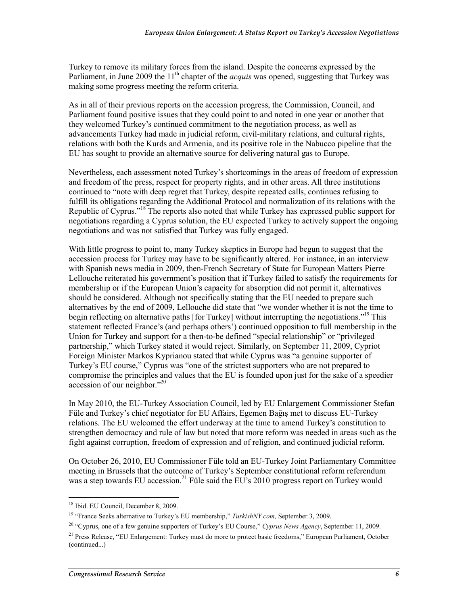Turkey to remove its military forces from the island. Despite the concerns expressed by the Parliament, in June 2009 the 11<sup>th</sup> chapter of the *acquis* was opened, suggesting that Turkey was making some progress meeting the reform criteria.

As in all of their previous reports on the accession progress, the Commission, Council, and Parliament found positive issues that they could point to and noted in one year or another that they welcomed Turkey's continued commitment to the negotiation process, as well as advancements Turkey had made in judicial reform, civil-military relations, and cultural rights, relations with both the Kurds and Armenia, and its positive role in the Nabucco pipeline that the EU has sought to provide an alternative source for delivering natural gas to Europe.

Nevertheless, each assessment noted Turkey's shortcomings in the areas of freedom of expression and freedom of the press, respect for property rights, and in other areas. All three institutions continued to "note with deep regret that Turkey, despite repeated calls, continues refusing to fulfill its obligations regarding the Additional Protocol and normalization of its relations with the Republic of Cyprus."18 The reports also noted that while Turkey has expressed public support for negotiations regarding a Cyprus solution, the EU expected Turkey to actively support the ongoing negotiations and was not satisfied that Turkey was fully engaged.

With little progress to point to, many Turkey skeptics in Europe had begun to suggest that the accession process for Turkey may have to be significantly altered. For instance, in an interview with Spanish news media in 2009, then-French Secretary of State for European Matters Pierre Lellouche reiterated his government's position that if Turkey failed to satisfy the requirements for membership or if the European Union's capacity for absorption did not permit it, alternatives should be considered. Although not specifically stating that the EU needed to prepare such alternatives by the end of 2009, Lellouche did state that "we wonder whether it is not the time to begin reflecting on alternative paths [for Turkey] without interrupting the negotiations."<sup>19</sup> This statement reflected France's (and perhaps others') continued opposition to full membership in the Union for Turkey and support for a then-to-be defined "special relationship" or "privileged partnership," which Turkey stated it would reject. Similarly, on September 11, 2009, Cypriot Foreign Minister Markos Kyprianou stated that while Cyprus was "a genuine supporter of Turkey's EU course," Cyprus was "one of the strictest supporters who are not prepared to compromise the principles and values that the EU is founded upon just for the sake of a speedier accession of our neighbor."20

In May 2010, the EU-Turkey Association Council, led by EU Enlargement Commissioner Stefan Füle and Turkey's chief negotiator for EU Affairs, Egemen Bağış met to discuss EU-Turkey relations. The EU welcomed the effort underway at the time to amend Turkey's constitution to strengthen democracy and rule of law but noted that more reform was needed in areas such as the fight against corruption, freedom of expression and of religion, and continued judicial reform.

On October 26, 2010, EU Commissioner Füle told an EU-Turkey Joint Parliamentary Committee meeting in Brussels that the outcome of Turkey's September constitutional reform referendum was a step towards EU accession.<sup>21</sup> Füle said the EU's 2010 progress report on Turkey would

<sup>&</sup>lt;sup>18</sup> Ibid. EU Council, December 8, 2009.

<sup>19 &</sup>quot;France Seeks alternative to Turkey's EU membership," *TurkishNY.com,* September 3, 2009.

<sup>20 &</sup>quot;Cyprus, one of a few genuine supporters of Turkey's EU Course," *Cyprus News Agency*, September 11, 2009.

<sup>&</sup>lt;sup>21</sup> Press Release, "EU Enlargement: Turkey must do more to protect basic freedoms," European Parliament, October (continued...)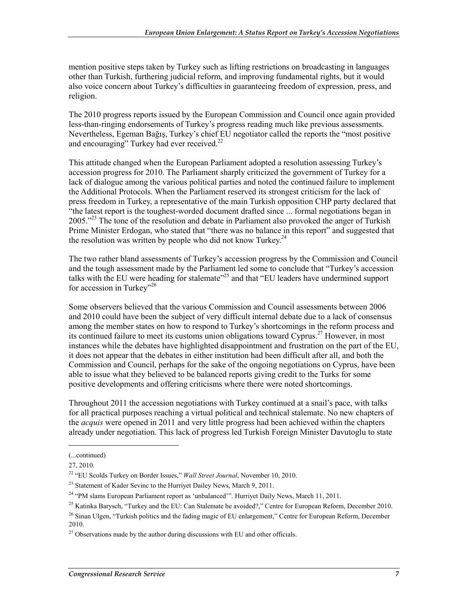mention positive steps taken by Turkey such as lifting restrictions on broadcasting in languages other than Turkish, furthering judicial reform, and improving fundamental rights, but it would also voice concern about Turkey's difficulties in guaranteeing freedom of expression, press, and religion.

The 2010 progress reports issued by the European Commission and Council once again provided less-than-ringing endorsements of Turkey's progress reading much like previous assessments. Nevertheless, Egeman Bağış, Turkey's chief EU negotiator called the reports the "most positive and encouraging" Turkey had ever received. $^{22}$ 

This attitude changed when the European Parliament adopted a resolution assessing Turkey's accession progress for 2010. The Parliament sharply criticized the government of Turkey for a lack of dialogue among the various political parties and noted the continued failure to implement the Additional Protocols. When the Parliament reserved its strongest criticism for the lack of press freedom in Turkey, a representative of the main Turkish opposition CHP party declared that "the latest report is the toughest-worded document drafted since ... formal negotiations began in 2005."<sup>23</sup> The tone of the resolution and debate in Parliament also provoked the anger of Turkish Prime Minister Erdogan, who stated that "there was no balance in this report" and suggested that the resolution was written by people who did not know Turkey.<sup>24</sup>

The two rather bland assessments of Turkey's accession progress by the Commission and Council and the tough assessment made by the Parliament led some to conclude that "Turkey's accession talks with the EU were heading for stalemate<sup>225</sup> and that "EU leaders have undermined support for accession in Turkey"<sup>26</sup>

Some observers believed that the various Commission and Council assessments between 2006 and 2010 could have been the subject of very difficult internal debate due to a lack of consensus among the member states on how to respond to Turkey's shortcomings in the reform process and its continued failure to meet its customs union obligations toward Cyprus.<sup>27</sup> However, in most instances while the debates have highlighted disappointment and frustration on the part of the EU, it does not appear that the debates in either institution had been difficult after all, and both the Commission and Council, perhaps for the sake of the ongoing negotiations on Cyprus, have been able to issue what they believed to be balanced reports giving credit to the Turks for some positive developments and offering criticisms where there were noted shortcomings.

Throughout 2011 the accession negotiations with Turkey continued at a snail's pace, with talks for all practical purposes reaching a virtual political and technical stalemate. No new chapters of the *acquis* were opened in 2011 and very little progress had been achieved within the chapters already under negotiation. This lack of progress led Turkish Foreign Minister Davutoglu to state

 $\overline{\phantom{a}}$ 

<sup>(...</sup>continued)

<sup>27, 2010.</sup> 

<sup>22 &</sup>quot;EU Scolds Turkey on Border Issues," *Wall Street Journal*, November 10, 2010.

<sup>&</sup>lt;sup>23</sup> Statement of Kader Sevinc to the Hurrivet Dailey News, March 9, 2011.

<sup>&</sup>lt;sup>24</sup> "PM slams European Parliament report as 'unbalanced'". Hurriyet Daily News, March 11, 2011.

<sup>&</sup>lt;sup>25</sup> Katinka Barysch, "Turkey and the EU: Can Stalemate be avoided?," Centre for European Reform, December 2010.

 $^{26}$  Sinan Ulgen, "Turkish politics and the fading magic of EU enlargement," Centre for European Reform, December 2010.

 $27$  Observations made by the author during discussions with EU and other officials.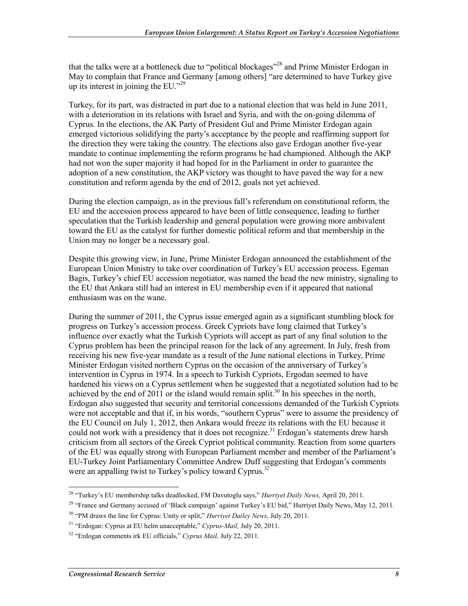that the talks were at a bottleneck due to "political blockages"<sup>28</sup> and Prime Minister Erdogan in May to complain that France and Germany [among others] "are determined to have Turkey give up its interest in joining the EU." $^{29}$ 

Turkey, for its part, was distracted in part due to a national election that was held in June 2011, with a deterioration in its relations with Israel and Syria, and with the on-going dilemma of Cyprus. In the elections, the AK Party of President Gul and Prime Minister Erdogan again emerged victorious solidifying the party's acceptance by the people and reaffirming support for the direction they were taking the country. The elections also gave Erdogan another five-year mandate to continue implementing the reform programs he had championed. Although the AKP had not won the super majority it had hoped for in the Parliament in order to guarantee the adoption of a new constitution, the AKP victory was thought to have paved the way for a new constitution and reform agenda by the end of 2012, goals not yet achieved.

During the election campaign, as in the previous fall's referendum on constitutional reform, the EU and the accession process appeared to have been of little consequence, leading to further speculation that the Turkish leadership and general population were growing more ambivalent toward the EU as the catalyst for further domestic political reform and that membership in the Union may no longer be a necessary goal.

Despite this growing view, in June, Prime Minister Erdogan announced the establishment of the European Union Ministry to take over coordination of Turkey's EU accession process. Egeman Bagis, Turkey's chief EU accession negotiator, was named the head the new ministry, signaling to the EU that Ankara still had an interest in EU membership even if it appeared that national enthusiasm was on the wane.

During the summer of 2011, the Cyprus issue emerged again as a significant stumbling block for progress on Turkey's accession process. Greek Cypriots have long claimed that Turkey's influence over exactly what the Turkish Cypriots will accept as part of any final solution to the Cyprus problem has been the principal reason for the lack of any agreement. In July, fresh from receiving his new five-year mandate as a result of the June national elections in Turkey, Prime Minister Erdogan visited northern Cyprus on the occasion of the anniversary of Turkey's intervention in Cyprus in 1974. In a speech to Turkish Cypriots, Ergodan seemed to have hardened his views on a Cyprus settlement when he suggested that a negotiated solution had to be achieved by the end of 2011 or the island would remain split.<sup>30</sup> In his speeches in the north, Erdogan also suggested that security and territorial concessions demanded of the Turkish Cypriots were not acceptable and that if, in his words, "southern Cyprus" were to assume the presidency of the EU Council on July 1, 2012, then Ankara would freeze its relations with the EU because it could not work with a presidency that it does not recognize.<sup>31</sup> Erdogan's statements drew harsh criticism from all sectors of the Greek Cypriot political community. Reaction from some quarters of the EU was equally strong with European Parliament member and member of the Parliament's EU-Turkey Joint Parliamentary Committee Andrew Duff suggesting that Erdogan's comments were an appalling twist to Turkey's policy toward Cyprus.<sup>32</sup>

<sup>28 &</sup>quot;Turkey's EU membership talks deadlocked, FM Davutoglu says," *Hurriyet Daily News,* April 20, 2011.

<sup>&</sup>lt;sup>29</sup> "France and Germany accused of 'Black campaign' against Turkey's EU bid," Hurriyet Daily News, May 12, 2011.

<sup>30 &</sup>quot;PM draws the line for Cyprus: Unity or split," *Hurriyet Dailey News,* July 20, 2011.

<sup>31 &</sup>quot;Erdogan: Cyprus at EU helm unacceptable," *Cyprus-Mail,* July 20, 2011.

<sup>32 &</sup>quot;Erdogan comments irk EU officials," *Cyprus Mail,* July 22, 2011.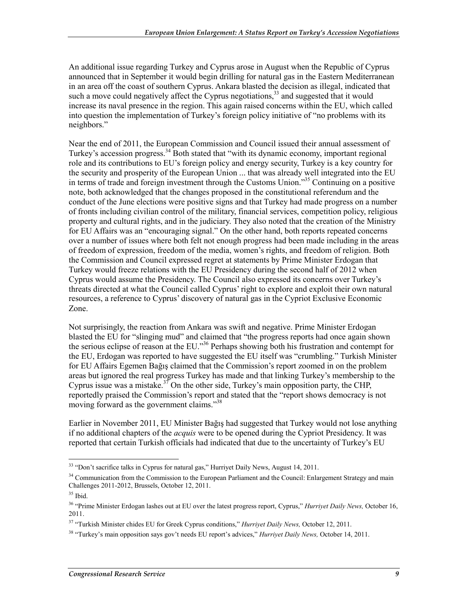An additional issue regarding Turkey and Cyprus arose in August when the Republic of Cyprus announced that in September it would begin drilling for natural gas in the Eastern Mediterranean in an area off the coast of southern Cyprus. Ankara blasted the decision as illegal, indicated that such a move could negatively affect the Cyprus negotiations,  $33$  and suggested that it would increase its naval presence in the region. This again raised concerns within the EU, which called into question the implementation of Turkey's foreign policy initiative of "no problems with its neighbors."

Near the end of 2011, the European Commission and Council issued their annual assessment of Turkey's accession progress.<sup>34</sup> Both stated that "with its dynamic economy, important regional role and its contributions to EU's foreign policy and energy security, Turkey is a key country for the security and prosperity of the European Union ... that was already well integrated into the EU in terms of trade and foreign investment through the Customs Union."35 Continuing on a positive note, both acknowledged that the changes proposed in the constitutional referendum and the conduct of the June elections were positive signs and that Turkey had made progress on a number of fronts including civilian control of the military, financial services, competition policy, religious property and cultural rights, and in the judiciary. They also noted that the creation of the Ministry for EU Affairs was an "encouraging signal." On the other hand, both reports repeated concerns over a number of issues where both felt not enough progress had been made including in the areas of freedom of expression, freedom of the media, women's rights, and freedom of religion. Both the Commission and Council expressed regret at statements by Prime Minister Erdogan that Turkey would freeze relations with the EU Presidency during the second half of 2012 when Cyprus would assume the Presidency. The Council also expressed its concerns over Turkey's threats directed at what the Council called Cyprus' right to explore and exploit their own natural resources, a reference to Cyprus' discovery of natural gas in the Cypriot Exclusive Economic Zone.

Not surprisingly, the reaction from Ankara was swift and negative. Prime Minister Erdogan blasted the EU for "slinging mud" and claimed that "the progress reports had once again shown the serious eclipse of reason at the EU."36 Perhaps showing both his frustration and contempt for the EU, Erdogan was reported to have suggested the EU itself was "crumbling." Turkish Minister for EU Affairs Egemen Bağış claimed that the Commission's report zoomed in on the problem areas but ignored the real progress Turkey has made and that linking Turkey's membership to the Cyprus issue was a mistake.<sup>37</sup> On the other side, Turkey's main opposition party, the CHP, reportedly praised the Commission's report and stated that the "report shows democracy is not moving forward as the government claims."<sup>38</sup>

Earlier in November 2011, EU Minister Bağış had suggested that Turkey would not lose anything if no additional chapters of the *acquis* were to be opened during the Cypriot Presidency. It was reported that certain Turkish officials had indicated that due to the uncertainty of Turkey's EU

<sup>&</sup>lt;sup>33</sup> "Don't sacrifice talks in Cyprus for natural gas," Hurriyet Daily News, August 14, 2011.

<sup>&</sup>lt;sup>34</sup> Communication from the Commission to the European Parliament and the Council: Enlargement Strategy and main Challenges 2011-2012, Brussels, October 12, 2011.

<sup>35</sup> Ibid.

<sup>36 &</sup>quot;Prime Minister Erdogan lashes out at EU over the latest progress report, Cyprus," *Hurriyet Daily News,* October 16, 2011.

<sup>37 &</sup>quot;Turkish Minister chides EU for Greek Cyprus conditions," *Hurriyet Daily News,* October 12, 2011.

<sup>38 &</sup>quot;Turkey's main opposition says gov't needs EU report's advices," *Hurriyet Daily News,* October 14, 2011.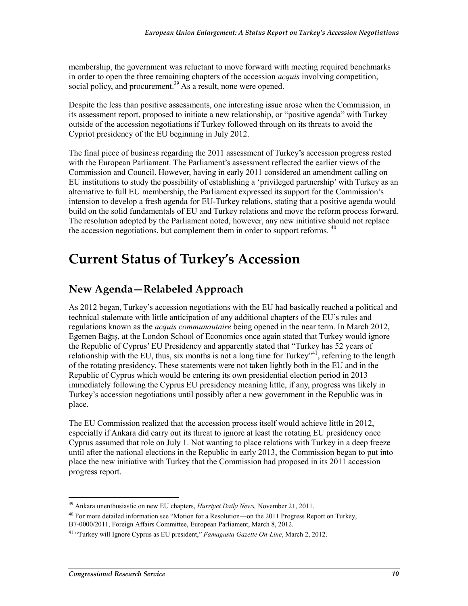membership, the government was reluctant to move forward with meeting required benchmarks in order to open the three remaining chapters of the accession *acquis* involving competition, social policy, and procurement.<sup>39</sup> As a result, none were opened.

Despite the less than positive assessments, one interesting issue arose when the Commission, in its assessment report, proposed to initiate a new relationship, or "positive agenda" with Turkey outside of the accession negotiations if Turkey followed through on its threats to avoid the Cypriot presidency of the EU beginning in July 2012.

The final piece of business regarding the 2011 assessment of Turkey's accession progress rested with the European Parliament. The Parliament's assessment reflected the earlier views of the Commission and Council. However, having in early 2011 considered an amendment calling on EU institutions to study the possibility of establishing a 'privileged partnership' with Turkey as an alternative to full EU membership, the Parliament expressed its support for the Commission's intension to develop a fresh agenda for EU-Turkey relations, stating that a positive agenda would build on the solid fundamentals of EU and Turkey relations and move the reform process forward. The resolution adopted by the Parliament noted, however, any new initiative should not replace the accession negotiations, but complement them in order to support reforms.  $40$ 

### **Current Status of Turkey's Accession**

#### **New Agenda—Relabeled Approach**

As 2012 began, Turkey's accession negotiations with the EU had basically reached a political and technical stalemate with little anticipation of any additional chapters of the EU's rules and regulations known as the *acquis communautaire* being opened in the near term. In March 2012, Egemen Bağış, at the London School of Economics once again stated that Turkey would ignore the Republic of Cyprus' EU Presidency and apparently stated that "Turkey has 52 years of relationship with the EU, thus, six months is not a long time for Turkey"<sup>41</sup>, referring to the length of the rotating presidency. These statements were not taken lightly both in the EU and in the Republic of Cyprus which would be entering its own presidential election period in 2013 immediately following the Cyprus EU presidency meaning little, if any, progress was likely in Turkey's accession negotiations until possibly after a new government in the Republic was in place.

The EU Commission realized that the accession process itself would achieve little in 2012, especially if Ankara did carry out its threat to ignore at least the rotating EU presidency once Cyprus assumed that role on July 1. Not wanting to place relations with Turkey in a deep freeze until after the national elections in the Republic in early 2013, the Commission began to put into place the new initiative with Turkey that the Commission had proposed in its 2011 accession progress report.

<sup>39</sup> Ankara unenthusiastic on new EU chapters, *Hurriyet Daily News,* November 21, 2011.

<sup>&</sup>lt;sup>40</sup> For more detailed information see "Motion for a Resolution—on the 2011 Progress Report on Turkey, B7-0000/2011, Foreign Affairs Committee, European Parliament, March 8, 2012.

<sup>41 &</sup>quot;Turkey will Ignore Cyprus as EU president," *Famagusta Gazette On-Line*, March 2, 2012.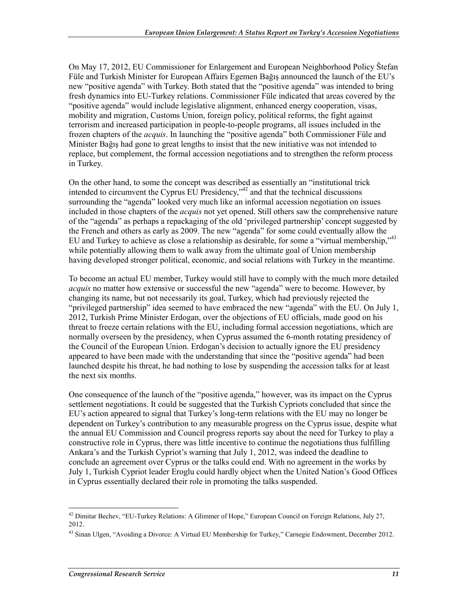On May 17, 2012, EU Commissioner for Enlargement and European Neighborhood Policy Štefan Füle and Turkish Minister for European Affairs Egemen Bağış announced the launch of the EU's new "positive agenda" with Turkey. Both stated that the "positive agenda" was intended to bring fresh dynamics into EU-Turkey relations. Commissioner Füle indicated that areas covered by the "positive agenda" would include legislative alignment, enhanced energy cooperation, visas, mobility and migration, Customs Union, foreign policy, political reforms, the fight against terrorism and increased participation in people-to-people programs, all issues included in the frozen chapters of the *acquis*. In launching the "positive agenda" both Commissioner Füle and Minister Bağış had gone to great lengths to insist that the new initiative was not intended to replace, but complement, the formal accession negotiations and to strengthen the reform process in Turkey.

On the other hand, to some the concept was described as essentially an "institutional trick intended to circumvent the Cyprus EU Presidency,"<sup>42</sup> and that the technical discussions surrounding the "agenda" looked very much like an informal accession negotiation on issues included in those chapters of the *acquis* not yet opened. Still others saw the comprehensive nature of the "agenda" as perhaps a repackaging of the old 'privileged partnership' concept suggested by the French and others as early as 2009. The new "agenda" for some could eventually allow the EU and Turkey to achieve as close a relationship as desirable, for some a "virtual membership,"43 while potentially allowing them to walk away from the ultimate goal of Union membership having developed stronger political, economic, and social relations with Turkey in the meantime.

To become an actual EU member, Turkey would still have to comply with the much more detailed *acquis* no matter how extensive or successful the new "agenda" were to become. However, by changing its name, but not necessarily its goal, Turkey, which had previously rejected the "privileged partnership" idea seemed to have embraced the new "agenda" with the EU. On July 1, 2012, Turkish Prime Minister Erdogan, over the objections of EU officials, made good on his threat to freeze certain relations with the EU, including formal accession negotiations, which are normally overseen by the presidency, when Cyprus assumed the 6-month rotating presidency of the Council of the European Union. Erdogan's decision to actually ignore the EU presidency appeared to have been made with the understanding that since the "positive agenda" had been launched despite his threat, he had nothing to lose by suspending the accession talks for at least the next six months.

One consequence of the launch of the "positive agenda," however, was its impact on the Cyprus settlement negotiations. It could be suggested that the Turkish Cypriots concluded that since the EU's action appeared to signal that Turkey's long-term relations with the EU may no longer be dependent on Turkey's contribution to any measurable progress on the Cyprus issue, despite what the annual EU Commission and Council progress reports say about the need for Turkey to play a constructive role in Cyprus, there was little incentive to continue the negotiations thus fulfilling Ankara's and the Turkish Cypriot's warning that July 1, 2012, was indeed the deadline to conclude an agreement over Cyprus or the talks could end. With no agreement in the works by July 1, Turkish Cypriot leader Eroglu could hardly object when the United Nation's Good Offices in Cyprus essentially declared their role in promoting the talks suspended.

<sup>&</sup>lt;sup>42</sup> Dimitar Bechev, "EU-Turkey Relations: A Glimmer of Hope," European Council on Foreign Relations, July 27, 2012.

<sup>&</sup>lt;sup>43</sup> Sinan Ulgen, "Avoiding a Divorce: A Virtual EU Membership for Turkey," Carnegie Endowment, December 2012.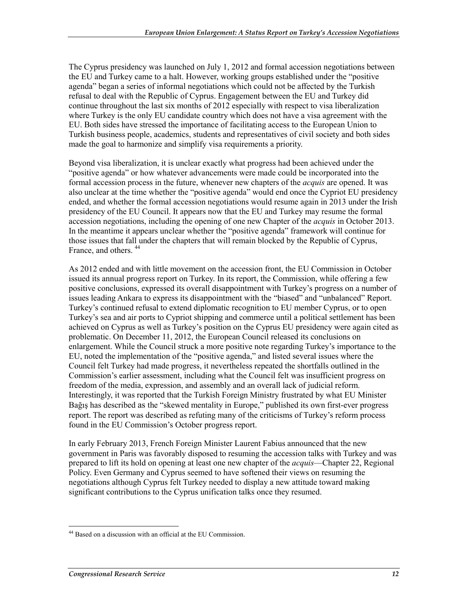The Cyprus presidency was launched on July 1, 2012 and formal accession negotiations between the EU and Turkey came to a halt. However, working groups established under the "positive agenda" began a series of informal negotiations which could not be affected by the Turkish refusal to deal with the Republic of Cyprus. Engagement between the EU and Turkey did continue throughout the last six months of 2012 especially with respect to visa liberalization where Turkey is the only EU candidate country which does not have a visa agreement with the EU. Both sides have stressed the importance of facilitating access to the European Union to Turkish business people, academics, students and representatives of civil society and both sides made the goal to harmonize and simplify visa requirements a priority.

Beyond visa liberalization, it is unclear exactly what progress had been achieved under the "positive agenda" or how whatever advancements were made could be incorporated into the formal accession process in the future, whenever new chapters of the *acquis* are opened. It was also unclear at the time whether the "positive agenda" would end once the Cypriot EU presidency ended, and whether the formal accession negotiations would resume again in 2013 under the Irish presidency of the EU Council. It appears now that the EU and Turkey may resume the formal accession negotiations, including the opening of one new Chapter of the *acquis* in October 2013. In the meantime it appears unclear whether the "positive agenda" framework will continue for those issues that fall under the chapters that will remain blocked by the Republic of Cyprus, France, and others. 44

As 2012 ended and with little movement on the accession front, the EU Commission in October issued its annual progress report on Turkey. In its report, the Commission, while offering a few positive conclusions, expressed its overall disappointment with Turkey's progress on a number of issues leading Ankara to express its disappointment with the "biased" and "unbalanced" Report. Turkey's continued refusal to extend diplomatic recognition to EU member Cyprus, or to open Turkey's sea and air ports to Cypriot shipping and commerce until a political settlement has been achieved on Cyprus as well as Turkey's position on the Cyprus EU presidency were again cited as problematic. On December 11, 2012, the European Council released its conclusions on enlargement. While the Council struck a more positive note regarding Turkey's importance to the EU, noted the implementation of the "positive agenda," and listed several issues where the Council felt Turkey had made progress, it nevertheless repeated the shortfalls outlined in the Commission's earlier assessment, including what the Council felt was insufficient progress on freedom of the media, expression, and assembly and an overall lack of judicial reform. Interestingly, it was reported that the Turkish Foreign Ministry frustrated by what EU Minister Bağış has described as the "skewed mentality in Europe," published its own first-ever progress report. The report was described as refuting many of the criticisms of Turkey's reform process found in the EU Commission's October progress report.

In early February 2013, French Foreign Minister Laurent Fabius announced that the new government in Paris was favorably disposed to resuming the accession talks with Turkey and was prepared to lift its hold on opening at least one new chapter of the *acquis*—Chapter 22, Regional Policy. Even Germany and Cyprus seemed to have softened their views on resuming the negotiations although Cyprus felt Turkey needed to display a new attitude toward making significant contributions to the Cyprus unification talks once they resumed.

<sup>&</sup>lt;u>.</u> <sup>44</sup> Based on a discussion with an official at the EU Commission.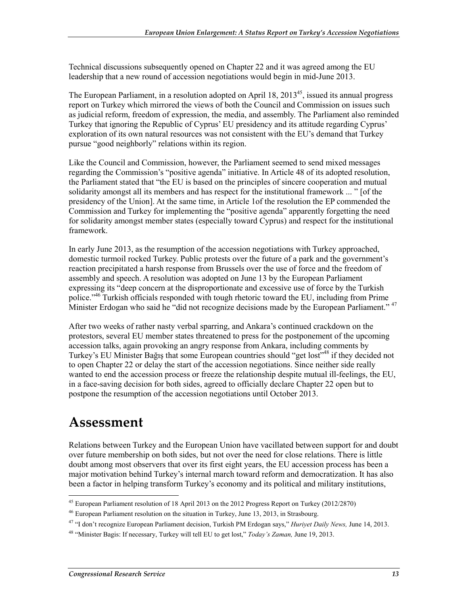Technical discussions subsequently opened on Chapter 22 and it was agreed among the EU leadership that a new round of accession negotiations would begin in mid-June 2013.

The European Parliament, in a resolution adopted on April  $18, 2013<sup>45</sup>$ , issued its annual progress report on Turkey which mirrored the views of both the Council and Commission on issues such as judicial reform, freedom of expression, the media, and assembly. The Parliament also reminded Turkey that ignoring the Republic of Cyprus' EU presidency and its attitude regarding Cyprus' exploration of its own natural resources was not consistent with the EU's demand that Turkey pursue "good neighborly" relations within its region.

Like the Council and Commission, however, the Parliament seemed to send mixed messages regarding the Commission's "positive agenda" initiative. In Article 48 of its adopted resolution, the Parliament stated that "the EU is based on the principles of sincere cooperation and mutual solidarity amongst all its members and has respect for the institutional framework ... " [of the presidency of the Union]. At the same time, in Article 1of the resolution the EP commended the Commission and Turkey for implementing the "positive agenda" apparently forgetting the need for solidarity amongst member states (especially toward Cyprus) and respect for the institutional framework.

In early June 2013, as the resumption of the accession negotiations with Turkey approached, domestic turmoil rocked Turkey. Public protests over the future of a park and the government's reaction precipitated a harsh response from Brussels over the use of force and the freedom of assembly and speech. A resolution was adopted on June 13 by the European Parliament expressing its "deep concern at the disproportionate and excessive use of force by the Turkish police."<sup>46</sup> Turkish officials responded with tough rhetoric toward the EU, including from Prime Minister Erdogan who said he "did not recognize decisions made by the European Parliament." <sup>47</sup>

After two weeks of rather nasty verbal sparring, and Ankara's continued crackdown on the protestors, several EU member states threatened to press for the postponement of the upcoming accession talks, again provoking an angry response from Ankara, including comments by Turkey's EU Minister Bağıs that some European countries should "get lost"<sup>48</sup> if they decided not to open Chapter 22 or delay the start of the accession negotiations. Since neither side really wanted to end the accession process or freeze the relationship despite mutual ill-feelings, the EU, in a face-saving decision for both sides, agreed to officially declare Chapter 22 open but to postpone the resumption of the accession negotiations until October 2013.

### **Assessment**

1

Relations between Turkey and the European Union have vacillated between support for and doubt over future membership on both sides, but not over the need for close relations. There is little doubt among most observers that over its first eight years, the EU accession process has been a major motivation behind Turkey's internal march toward reform and democratization. It has also been a factor in helping transform Turkey's economy and its political and military institutions,

<sup>&</sup>lt;sup>45</sup> European Parliament resolution of 18 April 2013 on the 2012 Progress Report on Turkey (2012/2870)

<sup>46</sup> European Parliament resolution on the situation in Turkey, June 13, 2013, in Strasbourg.

<sup>47 &</sup>quot;I don't recognize European Parliament decision, Turkish PM Erdogan says," *Huriyet Daily News,* June 14, 2013.

<sup>48 &</sup>quot;Minister Bagis: If necessary, Turkey will tell EU to get lost," *Today's Zaman,* June 19, 2013.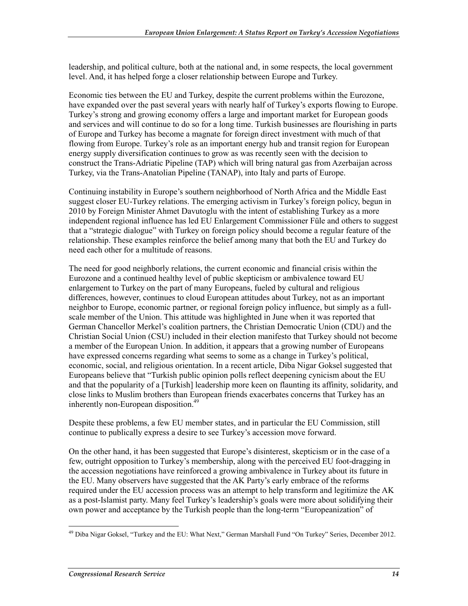leadership, and political culture, both at the national and, in some respects, the local government level. And, it has helped forge a closer relationship between Europe and Turkey.

Economic ties between the EU and Turkey, despite the current problems within the Eurozone, have expanded over the past several years with nearly half of Turkey's exports flowing to Europe. Turkey's strong and growing economy offers a large and important market for European goods and services and will continue to do so for a long time. Turkish businesses are flourishing in parts of Europe and Turkey has become a magnate for foreign direct investment with much of that flowing from Europe. Turkey's role as an important energy hub and transit region for European energy supply diversification continues to grow as was recently seen with the decision to construct the Trans-Adriatic Pipeline (TAP) which will bring natural gas from Azerbaijan across Turkey, via the Trans-Anatolian Pipeline (TANAP), into Italy and parts of Europe.

Continuing instability in Europe's southern neighborhood of North Africa and the Middle East suggest closer EU-Turkey relations. The emerging activism in Turkey's foreign policy, begun in 2010 by Foreign Minister Ahmet Davutoglu with the intent of establishing Turkey as a more independent regional influence has led EU Enlargement Commissioner Füle and others to suggest that a "strategic dialogue" with Turkey on foreign policy should become a regular feature of the relationship. These examples reinforce the belief among many that both the EU and Turkey do need each other for a multitude of reasons.

The need for good neighborly relations, the current economic and financial crisis within the Eurozone and a continued healthy level of public skepticism or ambivalence toward EU enlargement to Turkey on the part of many Europeans, fueled by cultural and religious differences, however, continues to cloud European attitudes about Turkey, not as an important neighbor to Europe, economic partner, or regional foreign policy influence, but simply as a fullscale member of the Union. This attitude was highlighted in June when it was reported that German Chancellor Merkel's coalition partners, the Christian Democratic Union (CDU) and the Christian Social Union (CSU) included in their election manifesto that Turkey should not become a member of the European Union. In addition, it appears that a growing number of Europeans have expressed concerns regarding what seems to some as a change in Turkey's political, economic, social, and religious orientation. In a recent article, Diba Nigar Goksel suggested that Europeans believe that "Turkish public opinion polls reflect deepening cynicism about the EU and that the popularity of a [Turkish] leadership more keen on flaunting its affinity, solidarity, and close links to Muslim brothers than European friends exacerbates concerns that Turkey has an inherently non-European disposition.<sup>49</sup>

Despite these problems, a few EU member states, and in particular the EU Commission, still continue to publically express a desire to see Turkey's accession move forward.

On the other hand, it has been suggested that Europe's disinterest, skepticism or in the case of a few, outright opposition to Turkey's membership, along with the perceived EU foot-dragging in the accession negotiations have reinforced a growing ambivalence in Turkey about its future in the EU. Many observers have suggested that the AK Party's early embrace of the reforms required under the EU accession process was an attempt to help transform and legitimize the AK as a post-Islamist party. Many feel Turkey's leadership's goals were more about solidifying their own power and acceptance by the Turkish people than the long-term "Europeanization" of

<sup>&</sup>lt;u>.</u> <sup>49</sup> Diba Nigar Goksel, "Turkey and the EU: What Next," German Marshall Fund "On Turkey" Series, December 2012.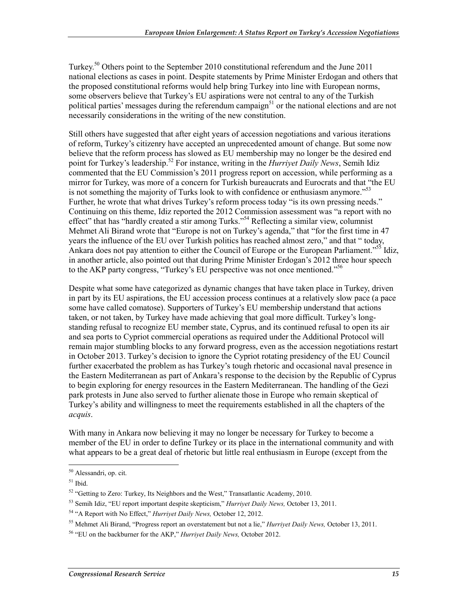Turkey.<sup>50</sup> Others point to the September 2010 constitutional referendum and the June 2011 national elections as cases in point. Despite statements by Prime Minister Erdogan and others that the proposed constitutional reforms would help bring Turkey into line with European norms, some observers believe that Turkey's EU aspirations were not central to any of the Turkish political parties' messages during the referendum campaign<sup>51</sup> or the national elections and are not necessarily considerations in the writing of the new constitution.

Still others have suggested that after eight years of accession negotiations and various iterations of reform, Turkey's citizenry have accepted an unprecedented amount of change. But some now believe that the reform process has slowed as EU membership may no longer be the desired end point for Turkey's leadership.52 For instance, writing in the *Hurriyet Daily News*, Semih Idiz commented that the EU Commission's 2011 progress report on accession, while performing as a mirror for Turkey, was more of a concern for Turkish bureaucrats and Eurocrats and that "the EU is not something the majority of Turks look to with confidence or enthusiasm anymore."<sup>53</sup> Further, he wrote that what drives Turkey's reform process today "is its own pressing needs." Continuing on this theme, Idiz reported the 2012 Commission assessment was "a report with no effect" that has "hardly created a stir among Turks."54 Reflecting a similar view, columnist Mehmet Ali Birand wrote that "Europe is not on Turkey's agenda," that "for the first time in 47 years the influence of the EU over Turkish politics has reached almost zero," and that " today, Ankara does not pay attention to either the Council of Europe or the European Parliament.<sup>55</sup> Idiz, in another article, also pointed out that during Prime Minister Erdogan's 2012 three hour speech to the AKP party congress, "Turkey's EU perspective was not once mentioned."56

Despite what some have categorized as dynamic changes that have taken place in Turkey, driven in part by its EU aspirations, the EU accession process continues at a relatively slow pace (a pace some have called comatose). Supporters of Turkey's EU membership understand that actions taken, or not taken, by Turkey have made achieving that goal more difficult. Turkey's longstanding refusal to recognize EU member state, Cyprus, and its continued refusal to open its air and sea ports to Cypriot commercial operations as required under the Additional Protocol will remain major stumbling blocks to any forward progress, even as the accession negotiations restart in October 2013. Turkey's decision to ignore the Cypriot rotating presidency of the EU Council further exacerbated the problem as has Turkey's tough rhetoric and occasional naval presence in the Eastern Mediterranean as part of Ankara's response to the decision by the Republic of Cyprus to begin exploring for energy resources in the Eastern Mediterranean. The handling of the Gezi park protests in June also served to further alienate those in Europe who remain skeptical of Turkey's ability and willingness to meet the requirements established in all the chapters of the *acquis*.

With many in Ankara now believing it may no longer be necessary for Turkey to become a member of the EU in order to define Turkey or its place in the international community and with what appears to be a great deal of rhetoric but little real enthusiasm in Europe (except from the

<sup>50</sup> Alessandri, op. cit.

 $51$  Ibid.

<sup>&</sup>lt;sup>52</sup> "Getting to Zero: Turkey, Its Neighbors and the West," Transatlantic Academy, 2010.

<sup>53</sup> Semih Idiz, "EU report important despite skepticism," *Hurriyet Daily News,* October 13, 2011.

<sup>54 &</sup>quot;A Report with No Effect," *Hurriyet Daily News,* October 12, 2012.

<sup>55</sup> Mehmet Ali Birand, "Progress report an overstatement but not a lie," *Hurriyet Daily News,* October 13, 2011.

<sup>56 &</sup>quot;EU on the backburner for the AKP," *Hurriyet Daily News,* October 2012.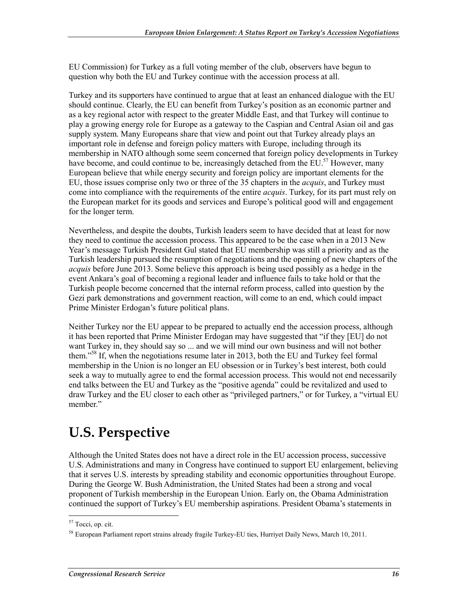EU Commission) for Turkey as a full voting member of the club, observers have begun to question why both the EU and Turkey continue with the accession process at all.

Turkey and its supporters have continued to argue that at least an enhanced dialogue with the EU should continue. Clearly, the EU can benefit from Turkey's position as an economic partner and as a key regional actor with respect to the greater Middle East, and that Turkey will continue to play a growing energy role for Europe as a gateway to the Caspian and Central Asian oil and gas supply system. Many Europeans share that view and point out that Turkey already plays an important role in defense and foreign policy matters with Europe, including through its membership in NATO although some seem concerned that foreign policy developments in Turkey have become, and could continue to be, increasingly detached from the EU.<sup>57</sup> However, many European believe that while energy security and foreign policy are important elements for the EU, those issues comprise only two or three of the 35 chapters in the *acquis*, and Turkey must come into compliance with the requirements of the entire *acquis*. Turkey, for its part must rely on the European market for its goods and services and Europe's political good will and engagement for the longer term.

Nevertheless, and despite the doubts, Turkish leaders seem to have decided that at least for now they need to continue the accession process. This appeared to be the case when in a 2013 New Year's message Turkish President Gul stated that EU membership was still a priority and as the Turkish leadership pursued the resumption of negotiations and the opening of new chapters of the *acquis* before June 2013. Some believe this approach is being used possibly as a hedge in the event Ankara's goal of becoming a regional leader and influence fails to take hold or that the Turkish people become concerned that the internal reform process, called into question by the Gezi park demonstrations and government reaction, will come to an end, which could impact Prime Minister Erdogan's future political plans.

Neither Turkey nor the EU appear to be prepared to actually end the accession process, although it has been reported that Prime Minister Erdogan may have suggested that "if they [EU] do not want Turkey in, they should say so ... and we will mind our own business and will not bother them."58 If, when the negotiations resume later in 2013, both the EU and Turkey feel formal membership in the Union is no longer an EU obsession or in Turkey's best interest, both could seek a way to mutually agree to end the formal accession process. This would not end necessarily end talks between the EU and Turkey as the "positive agenda" could be revitalized and used to draw Turkey and the EU closer to each other as "privileged partners," or for Turkey, a "virtual EU member."

## **U.S. Perspective**

Although the United States does not have a direct role in the EU accession process, successive U.S. Administrations and many in Congress have continued to support EU enlargement, believing that it serves U.S. interests by spreading stability and economic opportunities throughout Europe. During the George W. Bush Administration, the United States had been a strong and vocal proponent of Turkish membership in the European Union. Early on, the Obama Administration continued the support of Turkey's EU membership aspirations. President Obama's statements in

<sup>1</sup> <sup>57</sup> Tocci, op. cit.

<sup>&</sup>lt;sup>58</sup> European Parliament report strains already fragile Turkey-EU ties, Hurriyet Daily News, March 10, 2011.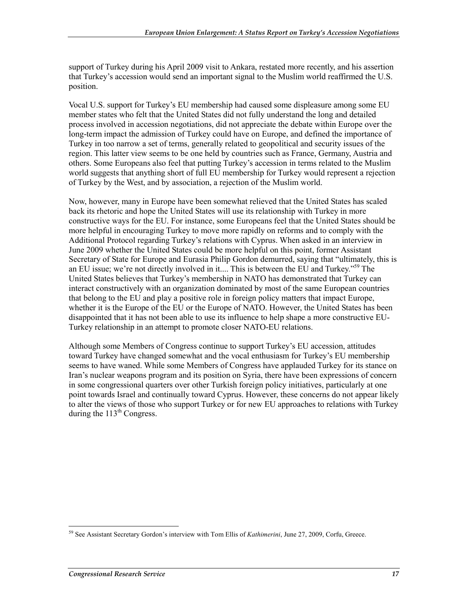support of Turkey during his April 2009 visit to Ankara, restated more recently, and his assertion that Turkey's accession would send an important signal to the Muslim world reaffirmed the U.S. position.

Vocal U.S. support for Turkey's EU membership had caused some displeasure among some EU member states who felt that the United States did not fully understand the long and detailed process involved in accession negotiations, did not appreciate the debate within Europe over the long-term impact the admission of Turkey could have on Europe, and defined the importance of Turkey in too narrow a set of terms, generally related to geopolitical and security issues of the region. This latter view seems to be one held by countries such as France, Germany, Austria and others. Some Europeans also feel that putting Turkey's accession in terms related to the Muslim world suggests that anything short of full EU membership for Turkey would represent a rejection of Turkey by the West, and by association, a rejection of the Muslim world.

Now, however, many in Europe have been somewhat relieved that the United States has scaled back its rhetoric and hope the United States will use its relationship with Turkey in more constructive ways for the EU. For instance, some Europeans feel that the United States should be more helpful in encouraging Turkey to move more rapidly on reforms and to comply with the Additional Protocol regarding Turkey's relations with Cyprus. When asked in an interview in June 2009 whether the United States could be more helpful on this point, former Assistant Secretary of State for Europe and Eurasia Philip Gordon demurred, saying that "ultimately, this is an EU issue; we're not directly involved in it.... This is between the EU and Turkey.<sup>559</sup> The United States believes that Turkey's membership in NATO has demonstrated that Turkey can interact constructively with an organization dominated by most of the same European countries that belong to the EU and play a positive role in foreign policy matters that impact Europe, whether it is the Europe of the EU or the Europe of NATO. However, the United States has been disappointed that it has not been able to use its influence to help shape a more constructive EU-Turkey relationship in an attempt to promote closer NATO-EU relations.

Although some Members of Congress continue to support Turkey's EU accession, attitudes toward Turkey have changed somewhat and the vocal enthusiasm for Turkey's EU membership seems to have waned. While some Members of Congress have applauded Turkey for its stance on Iran's nuclear weapons program and its position on Syria, there have been expressions of concern in some congressional quarters over other Turkish foreign policy initiatives, particularly at one point towards Israel and continually toward Cyprus. However, these concerns do not appear likely to alter the views of those who support Turkey or for new EU approaches to relations with Turkey during the  $113<sup>th</sup>$  Congress.

<sup>&</sup>lt;u>.</u> 59 See Assistant Secretary Gordon's interview with Tom Ellis of *Kathimerini*, June 27, 2009, Corfu, Greece.